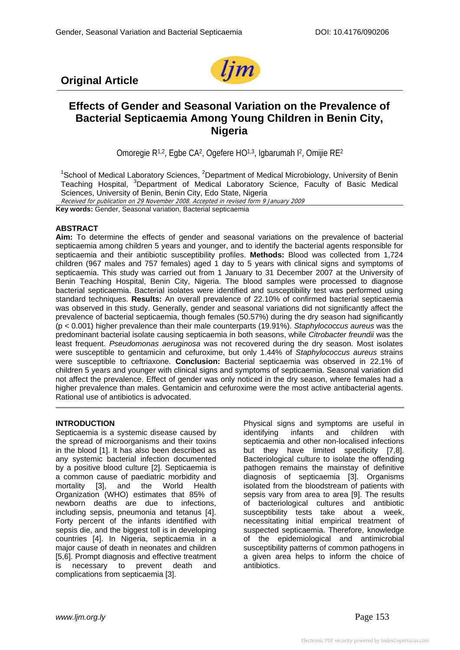



# **Effects of Gender and Seasonal Variation on the Prevalence of Bacterial Septicaemia Among Young Children in Benin City, Nigeria**

Omoregie R1,2, Egbe CA2, Ogefere HO1,3, Igbarumah I2, Omijie RE2

<sup>1</sup>School of Medical Laboratory Sciences, <sup>2</sup>Department of Medical Microbiology, University of Benin Teaching Hospital, <sup>3</sup>Department of Medical Laboratory Science, Faculty of Basic Medical Sciences, University of Benin, Benin City, Edo State, Nigeria

Received for publication on 29 November 2008. Accepted in revised form 9 January 2009

**Key words:** Gender, Seasonal variation, Bacterial septicaemia

#### **ABSTRACT**

**Aim:** To determine the effects of gender and seasonal variations on the prevalence of bacterial septicaemia among children 5 years and younger, and to identify the bacterial agents responsible for septicaemia and their antibiotic susceptibility profiles. **Methods:** Blood was collected from 1,724 children (967 males and 757 females) aged 1 day to 5 years with clinical signs and symptoms of septicaemia. This study was carried out from 1 January to 31 December 2007 at the University of Benin Teaching Hospital, Benin City, Nigeria. The blood samples were processed to diagnose bacterial septicaemia. Bacterial isolates were identified and susceptibility test was performed using standard techniques. **Results:** An overall prevalence of 22.10% of confirmed bacterial septicaemia was observed in this study. Generally, gender and seasonal variations did not significantly affect the prevalence of bacterial septicaemia, though females (50.57%) during the dry season had significantly (p < 0.001) higher prevalence than their male counterparts (19.91%). *Staphylococcus aureus* was the predominant bacterial isolate causing septicaemia in both seasons, while *Citrobacter freundii* was the least frequent. *Pseudomonas aeruginosa* was not recovered during the dry season. Most isolates were susceptible to gentamicin and cefuroxime, but only 1.44% of *Staphylococcus aureus* strains were susceptible to ceftriaxone. **Conclusion:** Bacterial septicaemia was observed in 22.1% of children 5 years and younger with clinical signs and symptoms of septicaemia. Seasonal variation did not affect the prevalence. Effect of gender was only noticed in the dry season, where females had a higher prevalence than males. Gentamicin and cefuroxime were the most active antibacterial agents. Rational use of antibiotics is advocated.

#### **INTRODUCTION**

Septicaemia is a systemic disease caused by the spread of microorganisms and their toxins in the blood [1]. It has also been described as any systemic bacterial infection documented by a positive blood culture [2]. Septicaemia is a common cause of paediatric morbidity and mortality [3], and the World Health Organization (WHO) estimates that 85% of newborn deaths are due to infections, including sepsis, pneumonia and tetanus [4]. Forty percent of the infants identified with sepsis die, and the biggest toll is in developing countries [4]. In Nigeria, septicaemia in a major cause of death in neonates and children [5,6]. Prompt diagnosis and effective treatment is necessary to prevent death and complications from septicaemia [3].

Physical signs and symptoms are useful in identifying infants and children with septicaemia and other non-localised infections but they have limited specificity [7,8]. Bacteriological culture to isolate the offending pathogen remains the mainstay of definitive diagnosis of septicaemia [3]. Organisms isolated from the bloodstream of patients with sepsis vary from area to area [9]. The results of bacteriological cultures and antibiotic susceptibility tests take about a week, necessitating initial empirical treatment of suspected septicaemia. Therefore, knowledge of the epidemiological and antimicrobial susceptibility patterns of common pathogens in a given area helps to inform the choice of antibiotics.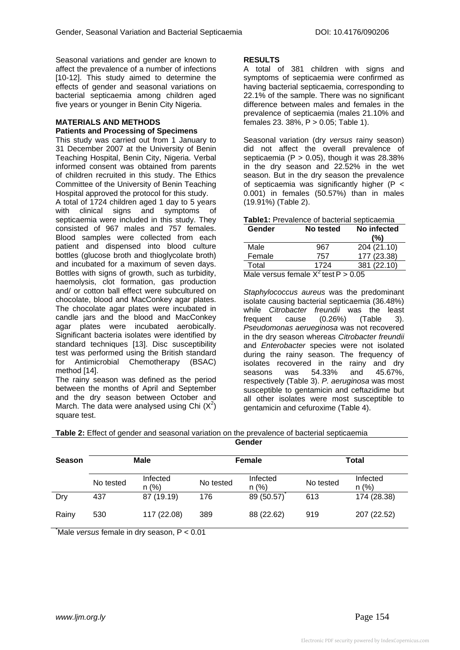Seasonal variations and gender are known to affect the prevalence of a number of infections [10-12]. This study aimed to determine the effects of gender and seasonal variations on bacterial septicaemia among children aged five years or younger in Benin City Nigeria.

## **MATERIALS AND METHODS Patients and Processing of Specimens**

This study was carried out from 1 January to 31 December 2007 at the University of Benin Teaching Hospital, Benin City, Nigeria. Verbal informed consent was obtained from parents of children recruited in this study. The Ethics Committee of the University of Benin Teaching Hospital approved the protocol for this study.

A total of 1724 children aged 1 day to 5 years with clinical signs and symptoms of septicaemia were included in this study. They consisted of 967 males and 757 females. Blood samples were collected from each patient and dispensed into blood culture bottles (glucose broth and thioglycolate broth) and incubated for a maximum of seven days. Bottles with signs of growth, such as turbidity, haemolysis, clot formation, gas production and/ or cotton ball effect were subcultured on chocolate, blood and MacConkey agar plates. The chocolate agar plates were incubated in candle jars and the blood and MacConkey agar plates were incubated aerobically. Significant bacteria isolates were identified by standard techniques [13]. Disc susceptibility test was performed using the British standard for Antimicrobial Chemotherapy (BSAC) method [14].

The rainy season was defined as the period between the months of April and September and the dry season between October and March. The data were analysed using Chi  $(X^2)$ square test.

## **RESULTS**

A total of 381 children with signs and symptoms of septicaemia were confirmed as having bacterial septicaemia, corresponding to 22.1% of the sample. There was no significant difference between males and females in the prevalence of septicaemia (males 21.10% and females 23. 38%, P > 0.05; Table 1).

Seasonal variation (dry *versus* rainy season) did not affect the overall prevalence of septicaemia ( $P > 0.05$ ), though it was 28.38% in the dry season and 22.52% in the wet season. But in the dry season the prevalence of septicaemia was significantly higher (P < 0.001) in females (50.57%) than in males (19.91%) (Table 2).

**Table1:** Prevalence of bacterial septicaemia

| Gender                                              | No tested | No infected<br>(%) |  |  |  |
|-----------------------------------------------------|-----------|--------------------|--|--|--|
| Male                                                | 967       | 204 (21.10)        |  |  |  |
| Female                                              | 757       | 177 (23.38)        |  |  |  |
| Total                                               | 1724      | 381 (22.10)        |  |  |  |
| Male versus female $X^2$ test $\overline{P} > 0.05$ |           |                    |  |  |  |

*Staphylococcus aureus* was the predominant isolate causing bacterial septicaemia (36.48%) while *Citrobacter freundii* was the least frequent cause (0.26%) (Table 3). *Pseudomonas aerueginosa* was not recovered in the dry season whereas *Citrobacter freundii*  and *Enterobacter* species were not isolated during the rainy season. The frequency of isolates recovered in the rainy and dry<br>seasons was 54.33% and 45.67%, seasons was 54.33% respectively (Table 3). *P. aeruginosa* was most susceptible to gentamicin and ceftazidime but all other isolates were most susceptible to gentamicin and cefuroxime (Table 4).

| Table 2: Effect of gender and seasonal variation on the prevalence of bacterial septicaemia |  |  |  |  |  |
|---------------------------------------------------------------------------------------------|--|--|--|--|--|
| Gender                                                                                      |  |  |  |  |  |

| <b>Season</b> | <b>Male</b> |                  |           | <b>Female</b>       | Total     |                  |
|---------------|-------------|------------------|-----------|---------------------|-----------|------------------|
|               | No tested   | Infected<br>n(%) | No tested | Infected<br>$n$ (%) | No tested | Infected<br>n(%) |
| Dry           | 437         | 87 (19.19)       | 176       | 89 (50.57)          | 613       | 174 (28.38)      |
| Rainy         | 530         | 117 (22.08)      | 389       | 88 (22.62)          | 919       | 207 (22.52)      |

\* Male *versus* female in dry season, P < 0.01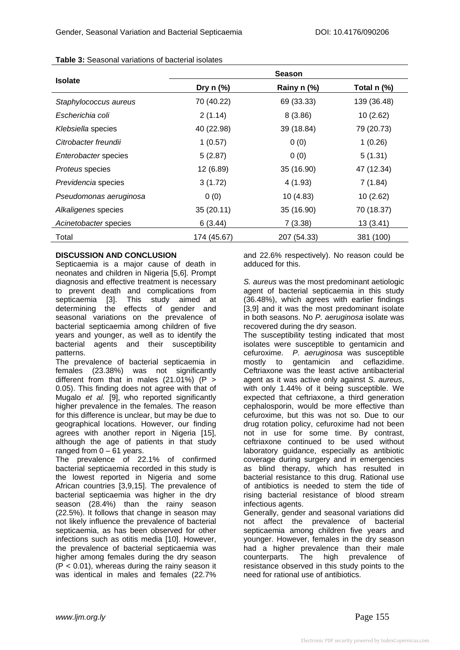|                        | <b>Season</b> |             |               |  |  |
|------------------------|---------------|-------------|---------------|--|--|
| <b>Isolate</b>         | Dry $n$ (%)   | Rainy n (%) | Total $n$ (%) |  |  |
| Staphylococcus aureus  | 70 (40.22)    | 69 (33.33)  | 139 (36.48)   |  |  |
| Escherichia coli       | 2(1.14)       | 8(3.86)     | 10(2.62)      |  |  |
| Klebsiella species     | 40 (22.98)    | 39 (18.84)  | 79 (20.73)    |  |  |
| Citrobacter freundii   | 1(0.57)       | 0(0)        | 1(0.26)       |  |  |
| Enterobacter species   | 5(2.87)       | 0(0)        | 5(1.31)       |  |  |
| Proteus species        | 12 (6.89)     | 35 (16.90)  | 47 (12.34)    |  |  |
| Previdencia species    | 3(1.72)       | 4(1.93)     | 7(1.84)       |  |  |
| Pseudomonas aeruginosa | 0(0)          | 10(4.83)    | 10(2.62)      |  |  |
| Alkaligenes species    | 35(20.11)     | 35 (16.90)  | 70 (18.37)    |  |  |
| Acinetobacter species  | 6(3.44)       | 7(3.38)     | 13 (3.41)     |  |  |
| Total                  | 174 (45.67)   | 207 (54.33) | 381 (100)     |  |  |

#### **Table 3:** Seasonal variations of bacterial isolates

#### **DISCUSSION AND CONCLUSION**

Septicaemia is a major cause of death in neonates and children in Nigeria [5,6]. Prompt diagnosis and effective treatment is necessary to prevent death and complications from septicaemia [3]. This study aimed at determining the effects of gender and seasonal variations on the prevalence of bacterial septicaemia among children of five years and younger, as well as to identify the bacterial agents and their susceptibility patterns.

The prevalence of bacterial septicaemia in females (23.38%) was not significantly different from that in males  $(21.01%)$   $(P >$ 0.05). This finding does not agree with that of Mugalo *et al.* [9], who reported significantly higher prevalence in the females. The reason for this difference is unclear, but may be due to geographical locations. However, our finding agrees with another report in Nigeria [15], although the age of patients in that study ranged from  $0 - 61$  years.

The prevalence of 22.1% of confirmed bacterial septicaemia recorded in this study is the lowest reported in Nigeria and some African countries [3,9,15]. The prevalence of bacterial septicaemia was higher in the dry season (28.4%) than the rainy season (22.5%). It follows that change in season may not likely influence the prevalence of bacterial septicaemia, as has been observed for other infections such as otitis media [10]. However, the prevalence of bacterial septicaemia was higher among females during the dry season  $(P < 0.01)$ , whereas during the rainy season it was identical in males and females (22.7% and 22.6% respectively). No reason could be adduced for this.

*S. aureus* was the most predominant aetiologic agent of bacterial septicaemia in this study (36.48%), which agrees with earlier findings [3,9] and it was the most predominant isolate in both seasons. No *P. aeruginosa* isolate was recovered during the dry season.

The susceptibility testing indicated that most isolates were susceptible to gentamicin and cefuroxime. *P. aeruginosa* was susceptible mostly to gentamicin and ceflazidime. Ceftriaxone was the least active antibacterial agent as it was active only against *S. aureus*, with only 1.44% of it being susceptible. We expected that ceftriaxone, a third generation cephalosporin, would be more effective than cefuroxime, but this was not so. Due to our drug rotation policy, cefuroxime had not been not in use for some time. By contrast, ceftriaxone continued to be used without laboratory guidance, especially as antibiotic coverage during surgery and in emergencies as blind therapy, which has resulted in bacterial resistance to this drug. Rational use of antibiotics is needed to stem the tide of rising bacterial resistance of blood stream infectious agents.

Generally, gender and seasonal variations did not affect the prevalence of bacterial septicaemia among children five years and younger. However, females in the dry season had a higher prevalence than their male counterparts. The high prevalence of resistance observed in this study points to the need for rational use of antibiotics.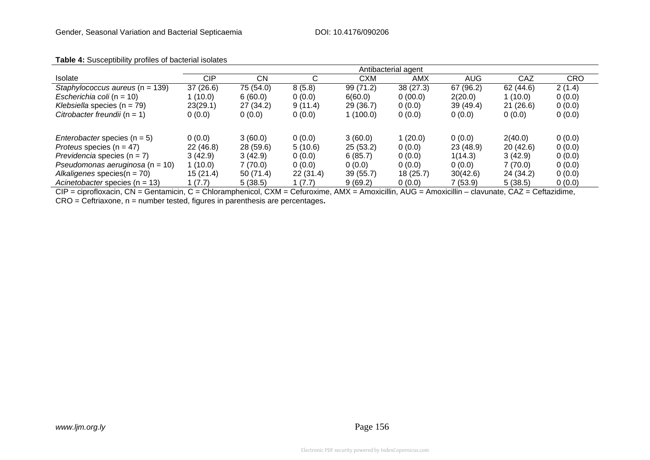|                                       | Antibacterial agent |           |          |            |          |            |           |            |
|---------------------------------------|---------------------|-----------|----------|------------|----------|------------|-----------|------------|
| Isolate                               | CIP                 | <b>CN</b> | ⌒<br>ι,  | <b>CXM</b> | AMX      | <b>AUG</b> | CAZ       | <b>CRO</b> |
| Staphylococcus aureus ( $n = 139$ )   | 37(26.6)            | 75 (54.0) | 8(5.8)   | 99 (71.2)  | 38(27.3) | 67 (96.2)  | 62 (44.6) | 2(1.4)     |
| Escherichia coli ( $n = 10$ )         | 1(10.0)             | 6(60.0)   | 0(0.0)   | 6(60.0)    | 0(00.0)  | 2(20.0)    | 1 (10.0)  | 0(0.0)     |
| Klebsiella species ( $n = 79$ )       | 23(29.1)            | 27 (34.2) | 9(11.4)  | 29 (36.7)  | 0(0.0)   | 39 (49.4)  | 21(26.6)  | 0(0.0)     |
| Citrobacter freundii $(n = 1)$        | 0(0.0)              | 0(0.0)    | 0(0.0)   | 1 (100.0)  | 0(0.0)   | 0(0.0)     | 0(0.0)    | 0(0.0)     |
|                                       |                     |           |          |            |          |            |           |            |
| <i>Enterobacter</i> species $(n = 5)$ | 0(0.0)              | 3(60.0)   | 0(0.0)   | 3(60.0)    | (20.0)   | 0(0.0)     | 2(40.0)   | 0(0.0)     |
| <i>Proteus</i> species $(n = 47)$     | 22(46.8)            | 28 (59.6) | 5(10.6)  | 25(53.2)   | 0(0.0)   | 23(48.9)   | 20(42.6)  | 0(0.0)     |
| Previdencia species $(n = 7)$         | 3(42.9)             | 3(42.9)   | 0(0.0)   | 6(85.7)    | 0(0.0)   | 1(14.3)    | 3(42.9)   | 0(0.0)     |
| Pseudomonas aeruginosa ( $n = 10$ )   | 1(10.0)             | 7(70.0)   | 0(0.0)   | 0(0.0)     | 0(0.0)   | 0(0.0)     | 7(70.0)   | 0(0.0)     |
| Alkaligenes species( $n = 70$ )       | 15 (21.4)           | 50(71.4)  | 22(31.4) | 39(55.7)   | 18(25.7) | 30(42.6)   | 24 (34.2) | 0(0.0)     |
| Acinetobacter species $(n = 13)$      | 1 (7.7)             | 5(38.5)   | 1(7.7)   | 9(69.2)    | 0(0.0)   | 7 (53.9)   | 5(38.5)   | 0(0.0)     |

## **Table 4:** Susceptibility profiles of bacterial isolates

CIP = ciprofloxacin, CN = Gentamicin, C = Chloramphenicol, CXM = Cefuroxime, AMX = Amoxicillin, AUG = Amoxicillin – clavunate, CAZ = Ceftazidime, CRO = Ceftriaxone, n = number tested, figures in parenthesis are percentages**.**